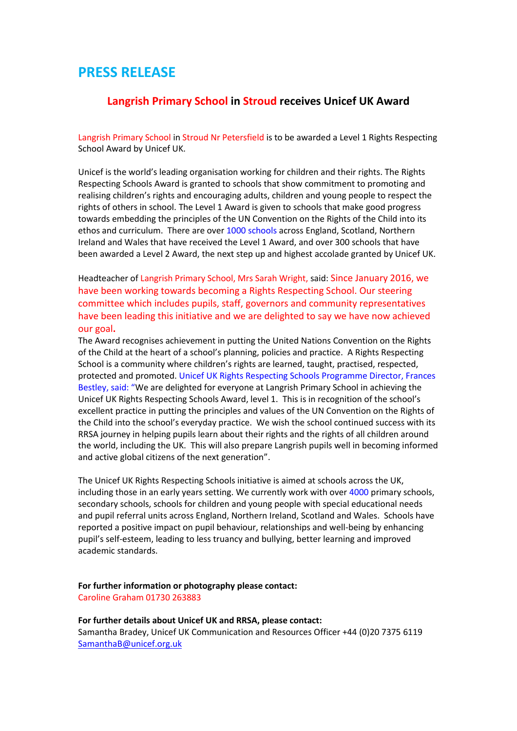# **PRESS RELEASE**

# **Langrish Primary School in Stroud receives Unicef UK Award**

Langrish Primary School in Stroud Nr Petersfield is to be awarded a Level 1 Rights Respecting School Award by Unicef UK.

Unicef is the world's leading organisation working for children and their rights. The Rights Respecting Schools Award is granted to schools that show commitment to promoting and realising children's rights and encouraging adults, children and young people to respect the rights of others in school. The Level 1 Award is given to schools that make good progress towards embedding the principles of the UN Convention on the Rights of the Child into its ethos and curriculum. There are over 1000 schools across England, Scotland, Northern Ireland and Wales that have received the Level 1 Award, and over 300 schools that have been awarded a Level 2 Award, the next step up and highest accolade granted by Unicef UK.

Headteacher of Langrish Primary School, Mrs Sarah Wright, said: Since January 2016, we have been working towards becoming a Rights Respecting School. Our steering committee which includes pupils, staff, governors and community representatives have been leading this initiative and we are delighted to say we have now achieved our goal**.** 

The Award recognises achievement in putting the United Nations Convention on the Rights of the Child at the heart of a school's planning, policies and practice. A Rights Respecting School is a community where children's rights are learned, taught, practised, respected, protected and promoted. Unicef UK Rights Respecting Schools Programme Director, Frances Bestley, said: "We are delighted for everyone at Langrish Primary School in achieving the Unicef UK Rights Respecting Schools Award, level 1. This is in recognition of the school's excellent practice in putting the principles and values of the UN Convention on the Rights of the Child into the school's everyday practice. We wish the school continued success with its RRSA journey in helping pupils learn about their rights and the rights of all children around the world, including the UK. This will also prepare Langrish pupils well in becoming informed and active global citizens of the next generation".

The Unicef UK Rights Respecting Schools initiative is aimed at schools across the UK, including those in an early years setting. We currently work with over 4000 primary schools, secondary schools, schools for children and young people with special educational needs and pupil referral units across England, Northern Ireland, Scotland and Wales. Schools have reported a positive impact on pupil behaviour, relationships and well-being by enhancing pupil's self-esteem, leading to less truancy and bullying, better learning and improved academic standards.

#### **For further information or photography please contact:** Caroline Graham 01730 263883

# **For further details about Unicef UK and RRSA, please contact:** Samantha Bradey, Unicef UK Communication and Resources Officer +44 (0)20 7375 6119 [SamanthaB@unicef.org.uk](mailto:SamanthaB@unicef.org.uk)